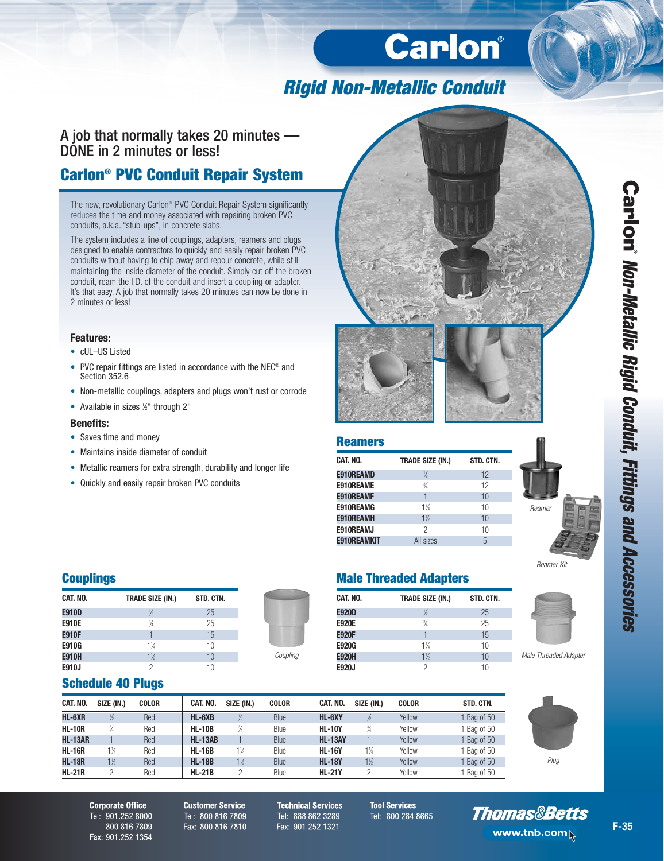# Carlon®

# **Rigid Non-Metallic Conduit**

A job that normally takes 20 minutes — DONE in 2 minutes or less!

### **Carlon® PVC Conduit Repair System**

The new, revolutionary Carlon® PVC Conduit Repair System significantly reduces the time and money associated with repairing broken PVC conduits, a.k.a. "stub-ups", in concrete slabs.

The system includes a line of couplings, adapters, reamers and plugs designed to enable contractors to quickly and easily repair broken PVC conduits without having to chip away and repour concrete, while still maintaining the inside diameter of the conduit. Simply cut off the broken conduit, ream the I.D. of the conduit and insert a coupling or adapter. It's that easy. A job that normally takes 20 minutes can now be done in 2 minutes or less!

### **Features:**

- cUL–US Listed
- PVC repair fittings are listed in accordance with the NEC® and Section 352.6
- Non-metallic couplings, adapters and plugs won't rust or corrode
- Available in sizes 1/2" through 2"

### **Benefits:**

- Saves time and money
- Maintains inside diameter of conduit
- Metallic reamers for extra strength, durability and longer life
- Quickly and easily repair broken PVC conduits





### **Reamers**

| CAT. NO.           | <b>TRADE SIZE (IN.)</b> | STD. CTN. |
|--------------------|-------------------------|-----------|
| E910REAMD          | ℅                       | 12        |
| E910REAME          | $\frac{3}{4}$           | 12        |
| E910REAMF          |                         | 10        |
| E910REAMG          | $1\frac{1}{4}$          | 10        |
| <b>E910REAMH</b>   | $1\%$                   | 10        |
| E910REAMJ          | 2                       | 10        |
| <b>E910REAMKIT</b> | All sizes               | 5         |

### **Couplings**

| CAT. NO.     | <b>TRADE SIZE (IN.)</b> | STD. CTN. |
|--------------|-------------------------|-----------|
| <b>E910D</b> | ½                       | 25        |
| <b>E910E</b> | $\frac{3}{4}$           | 25        |
| <b>E910F</b> |                         | 15        |
| E910G        | 1¼                      | 10        |
| <b>E910H</b> | $1\%$                   | 10        |
| E910J        | 2                       | 10        |



### **Male Threaded Adapters**

| CAT. NO.     | <b>TRADE SIZE (IN.)</b> | STD. CTN. |
|--------------|-------------------------|-----------|
| <b>E920D</b> | ½                       | 25        |
| <b>E920E</b> | $\frac{3}{4}$           | 25        |
| <b>E920F</b> |                         | 15        |
| <b>E920G</b> | $1\frac{1}{4}$          | 10        |
| <b>E920H</b> | $1\frac{1}{2}$          | 10        |
| E920J        | 2                       | 10        |

### **Schedule 40 Plugs**

| CAT. NO.       | SIZE (IN.)     | <b>COLOR</b> | CAT. NO.       | SIZE (IN.)     | <b>COLOR</b> | CAT. NO.       | SIZE (IN.)     | <b>COLOR</b> | STD. CTN. |
|----------------|----------------|--------------|----------------|----------------|--------------|----------------|----------------|--------------|-----------|
| HL-6XR         | ½              | Red          | $HL-6XB$       | $\frac{1}{2}$  | Blue         | HL-6XY         |                | Yellow       | Bag of 50 |
| <b>HL-10R</b>  | $\frac{3}{4}$  | Red          | <b>HL-10B</b>  | $\frac{3}{4}$  | Blue         | <b>HL-10Y</b>  | $\frac{3}{4}$  | Yellow       | Bag of 50 |
| <b>HL-13AR</b> |                | Red          | <b>HL-13AB</b> |                | Blue         | <b>HL-13AY</b> |                | Yellow       | Bag of 50 |
| <b>HL-16R</b>  | $1\frac{1}{4}$ | Red          | <b>HL-16B</b>  | $1\frac{1}{4}$ | Blue         | <b>HL-16Y</b>  | $1\frac{1}{4}$ | Yellow       | Bag of 50 |
| <b>HL-18R</b>  | $1\frac{1}{2}$ | Red          | <b>HL-18B</b>  | $1\frac{1}{2}$ | Blue         | <b>HL-18Y</b>  | $1\frac{1}{2}$ | Yellow       | Bag of 50 |
| <b>HL-21R</b>  |                | Red          | $HL-21B$       | 2              | Blue         | <b>HL-21Y</b>  |                | Yellow       | Bag of 50 |



Male Threaded Adapter

Reamer Kit

Plug

**Corporate Office** Tel: 901.252.8000 800.816.7809 Fax: 901.252.1354 **Customer Service** Tel: 800.816.7809 Fax: 800.816.7810

**Technical Services** Tel: 888.862.3289 Fax: 901.252.1321

**Tool Services** Tel: 800.284.8665



# Carlon' Non-Metallic Rigid Conduit, Fittings and Accessories **F-35Non-Metallic Rigid Conduit, Fittings and Accessories**